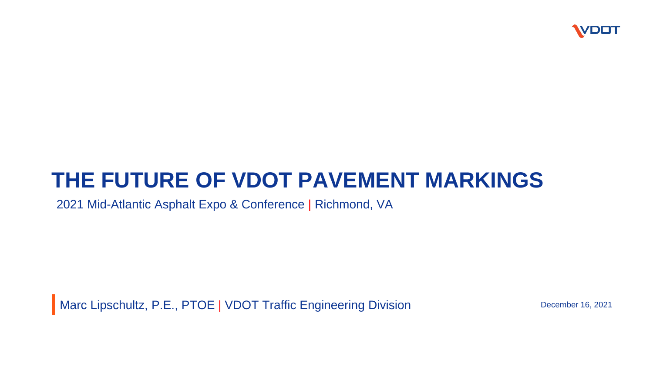

#### **THE FUTURE OF VDOT PAVEMENT MARKINGS**

2021 Mid-Atlantic Asphalt Expo & Conference | Richmond, VA

Marc Lipschultz, P.E., PTOE | VDOT Traffic Engineering Division December 16, 2021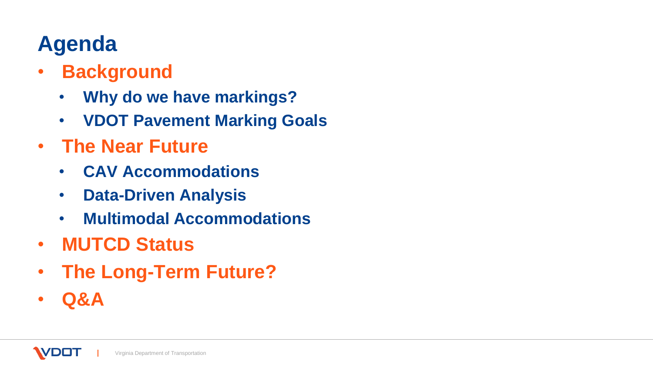# **Agenda**

- **Background**
	- **Why do we have markings?**
	- **VDOT Pavement Marking Goals**
- **The Near Future**
	- **CAV Accommodations**
	- **Data-Driven Analysis**
	- **Multimodal Accommodations**
- **MUTCD Status**
- **The Long-Term Future?**
- **Q&A**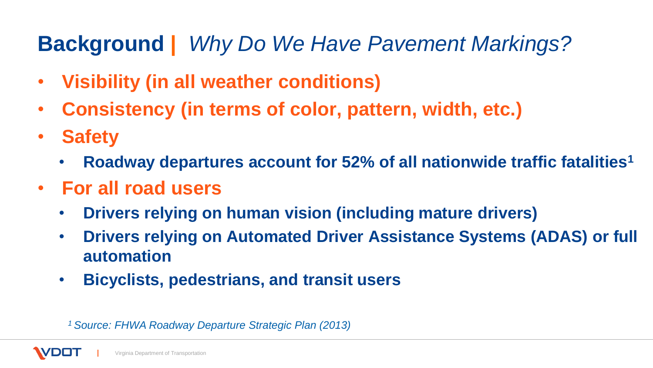## **Background |** *Why Do We Have Pavement Markings?*

- **Visibility (in all weather conditions)**
- **Consistency (in terms of color, pattern, width, etc.)**
- **Safety**
	- **Roadway departures account for 52% of all nationwide traffic fatalities<sup>1</sup>**
- **For all road users**
	- **Drivers relying on human vision (including mature drivers)**
	- **Drivers relying on Automated Driver Assistance Systems (ADAS) or full automation**
	- **Bicyclists, pedestrians, and transit users**

*1 Source: FHWA Roadway Departure Strategic Plan (2013)*

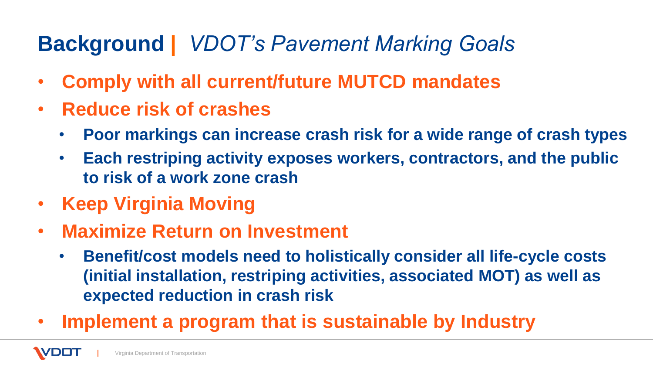## **Background |** *VDOT's Pavement Marking Goals*

- **Comply with all current/future MUTCD mandates**
- **Reduce risk of crashes**
	- **Poor markings can increase crash risk for a wide range of crash types**
	- **Each restriping activity exposes workers, contractors, and the public to risk of a work zone crash**
- **Keep Virginia Moving**
- **Maximize Return on Investment**
	- **Benefit/cost models need to holistically consider all life-cycle costs (initial installation, restriping activities, associated MOT) as well as expected reduction in crash risk**
- **Implement a program that is sustainable by Industry**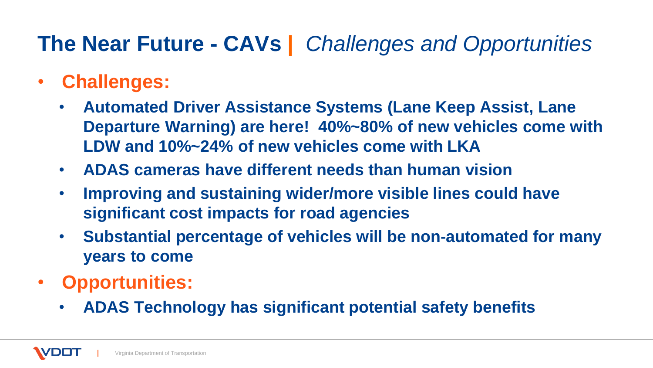## **The Near Future - CAVs |** *Challenges and Opportunities*

- **Challenges:**
	- **Automated Driver Assistance Systems (Lane Keep Assist, Lane Departure Warning) are here! 40%~80% of new vehicles come with LDW and 10%~24% of new vehicles come with LKA**
	- **ADAS cameras have different needs than human vision**
	- **Improving and sustaining wider/more visible lines could have significant cost impacts for road agencies**
	- **Substantial percentage of vehicles will be non-automated for many years to come**
- **Opportunities:**
	- **ADAS Technology has significant potential safety benefits**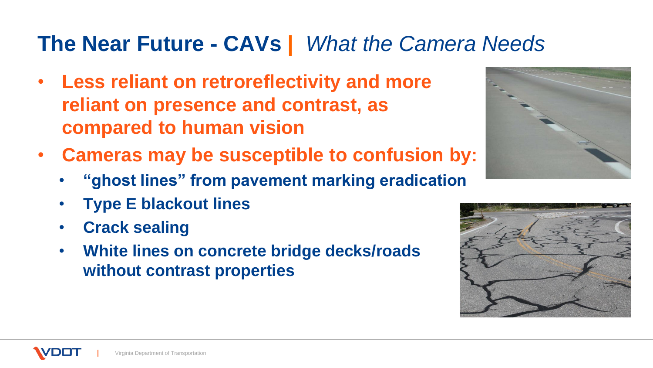### **The Near Future - CAVs |** *What the Camera Needs*

- **Less reliant on retroreflectivity and more reliant on presence and contrast, as compared to human vision**
- **Cameras may be susceptible to confusion by:**
	- **"ghost lines" from pavement marking eradication**
	- **Type E blackout lines**
	- **Crack sealing**
	- **White lines on concrete bridge decks/roads without contrast properties**





Virginia Department of Transportation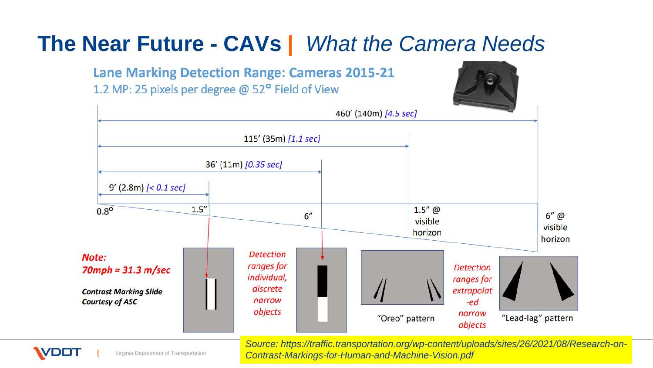

*Source: https://traffic.transportation.org/wp-content/uploads/sites/26/2021/08/Research-on-Contrast-Markings-for-Human-and-Machine-Vision.pdf*



**DOT** 

Virginia Department of Transportation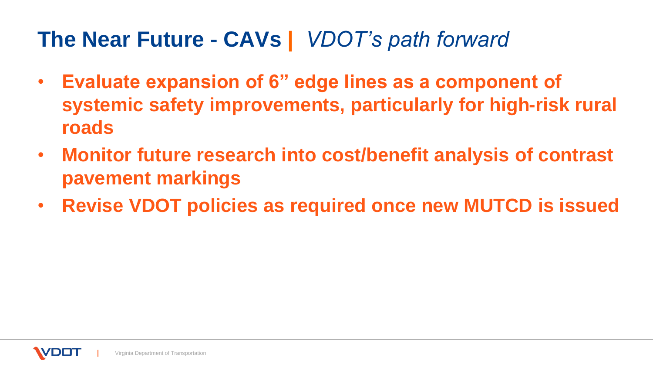### **The Near Future - CAVs |** *VDOT's path forward*

- **Evaluate expansion of 6" edge lines as a component of systemic safety improvements, particularly for high-risk rural roads**
- **Monitor future research into cost/benefit analysis of contrast pavement markings**
- **Revise VDOT policies as required once new MUTCD is issued**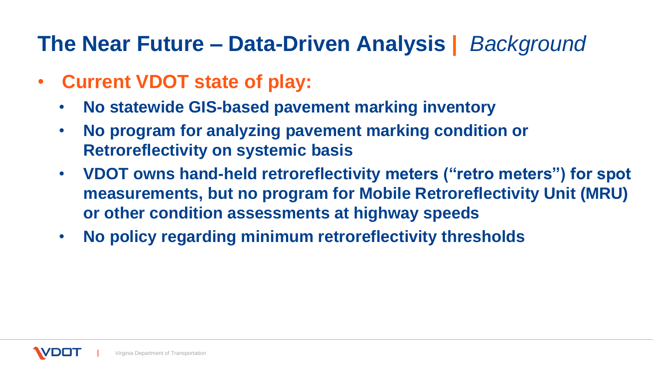## **The Near Future – Data-Driven Analysis |** *Background*

- **Current VDOT state of play:**
	- **No statewide GIS-based pavement marking inventory**
	- **No program for analyzing pavement marking condition or Retroreflectivity on systemic basis**
	- **VDOT owns hand-held retroreflectivity meters ("retro meters") for spot measurements, but no program for Mobile Retroreflectivity Unit (MRU) or other condition assessments at highway speeds**
	- **No policy regarding minimum retroreflectivity thresholds**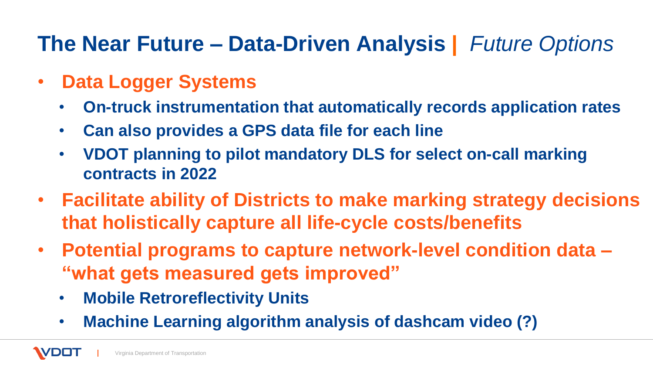## **The Near Future – Data-Driven Analysis |** *Future Options*

- **Data Logger Systems**
	- **On-truck instrumentation that automatically records application rates**
	- **Can also provides a GPS data file for each line**
	- **VDOT planning to pilot mandatory DLS for select on-call marking contracts in 2022**
- **Facilitate ability of Districts to make marking strategy decisions that holistically capture all life-cycle costs/benefits**
- **Potential programs to capture network-level condition data – "what gets measured gets improved"**
	- **Mobile Retroreflectivity Units**
	- **Machine Learning algorithm analysis of dashcam video (?)**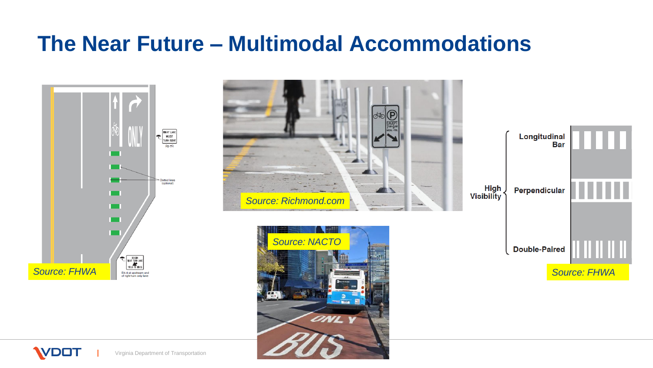#### **The Near Future – Multimodal Accommodations**



**WDOT** 







Virginia Department of Transportation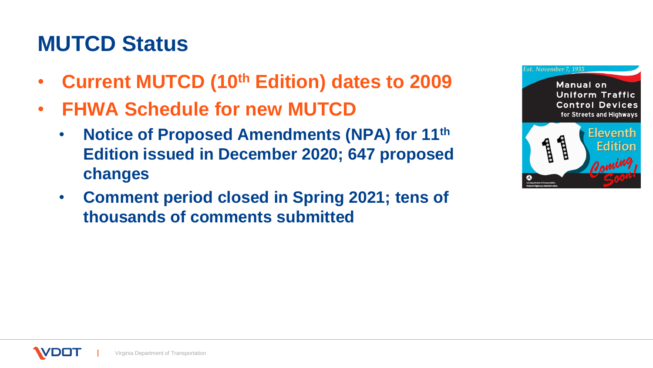### **MUTCD Status**

- **Current MUTCD (10th Edition) dates to 2009**
- **FHWA Schedule for new MUTCD**
	- **Notice of Proposed Amendments (NPA) for 11th Edition issued in December 2020; 647 proposed changes**
	- **Comment period closed in Spring 2021; tens of thousands of comments submitted**

| Est. November 7, 1935                                                                            |                                     |
|--------------------------------------------------------------------------------------------------|-------------------------------------|
| <b>Manual</b> on<br><b>Uniform Traffic</b><br><b>Control Devices</b><br>for Streets and Highways |                                     |
| Highway Administration                                                                           | <b>Eleventh</b><br>Edition<br>Oomin |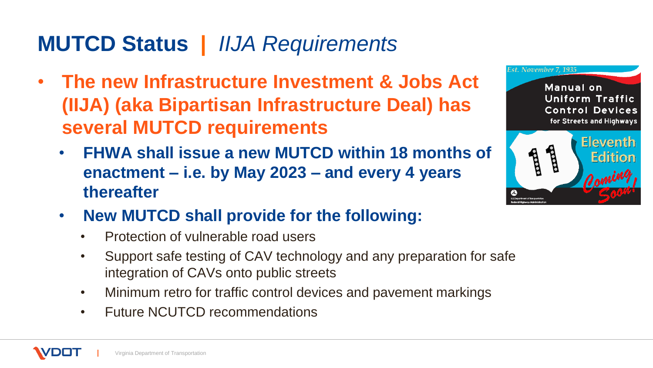## **MUTCD Status |** *IIJA Requirements*

- **The new Infrastructure Investment & Jobs Act (IIJA) (aka Bipartisan Infrastructure Deal) has several MUTCD requirements**
	- **FHWA shall issue a new MUTCD within 18 months of enactment – i.e. by May 2023 – and every 4 years thereafter**



- Protection of vulnerable road users
- Support safe testing of CAV technology and any preparation for safe integration of CAVs onto public streets
- Minimum retro for traffic control devices and pavement markings
- Future NCUTCD recommendations

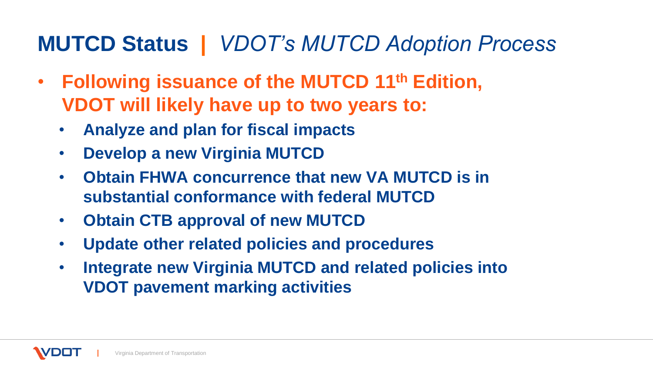### **MUTCD Status |** *VDOT's MUTCD Adoption Process*

- **Following issuance of the MUTCD 11th Edition, VDOT will likely have up to two years to:**
	- **Analyze and plan for fiscal impacts**
	- **Develop a new Virginia MUTCD**
	- **Obtain FHWA concurrence that new VA MUTCD is in substantial conformance with federal MUTCD**
	- **Obtain CTB approval of new MUTCD**
	- **Update other related policies and procedures**
	- **Integrate new Virginia MUTCD and related policies into VDOT pavement marking activities**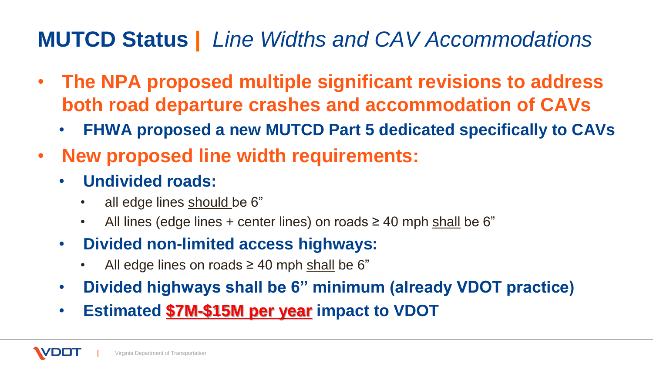## **MUTCD Status |** *Line Widths and CAV Accommodations*

- **The NPA proposed multiple significant revisions to address both road departure crashes and accommodation of CAVs**
	- **FHWA proposed a new MUTCD Part 5 dedicated specifically to CAVs**
- **New proposed line width requirements:**
	- **Undivided roads:**
		- all edge lines should be 6"
		- All lines (edge lines + center lines) on roads  $\geq 40$  mph shall be 6"
	- **Divided non-limited access highways:**
		- All edge lines on roads  $\geq 40$  mph shall be 6"
	- **Divided highways shall be 6" minimum (already VDOT practice)**
	- **Estimated \$7M-\$15M per year impact to VDOT**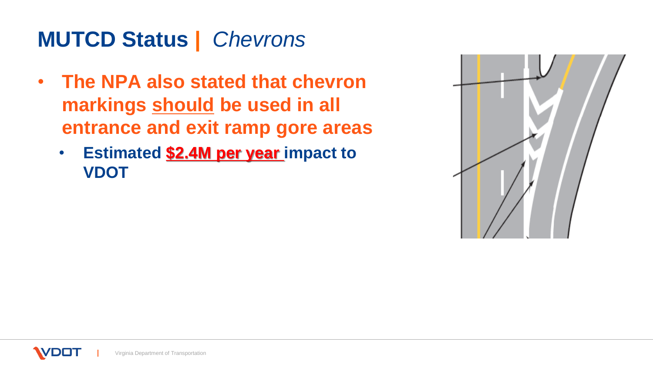## **MUTCD Status |** *Chevrons*

- **The NPA also stated that chevron markings should be used in all entrance and exit ramp gore areas**
	- **Estimated \$2.4M per year impact to VDOT**

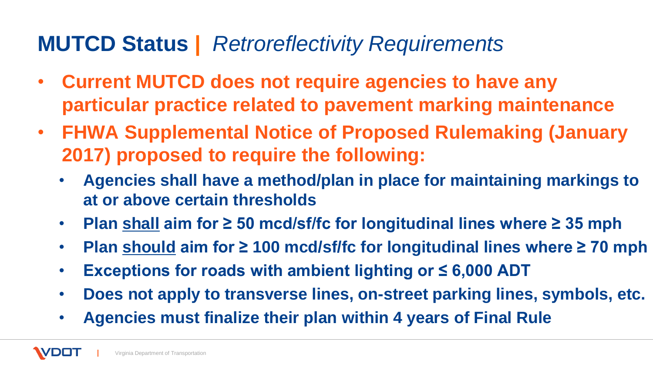#### **MUTCD Status |** *Retroreflectivity Requirements*

- **Current MUTCD does not require agencies to have any particular practice related to pavement marking maintenance**
- **FHWA Supplemental Notice of Proposed Rulemaking (January 2017) proposed to require the following:**
	- **Agencies shall have a method/plan in place for maintaining markings to at or above certain thresholds**
	- **Plan shall aim for ≥ 50 mcd/sf/fc for longitudinal lines where ≥ 35 mph**
	- **Plan should aim for ≥ 100 mcd/sf/fc for longitudinal lines where ≥ 70 mph**
	- **Exceptions for roads with ambient lighting or ≤ 6,000 ADT**
	- **Does not apply to transverse lines, on-street parking lines, symbols, etc.**
	- **Agencies must finalize their plan within 4 years of Final Rule**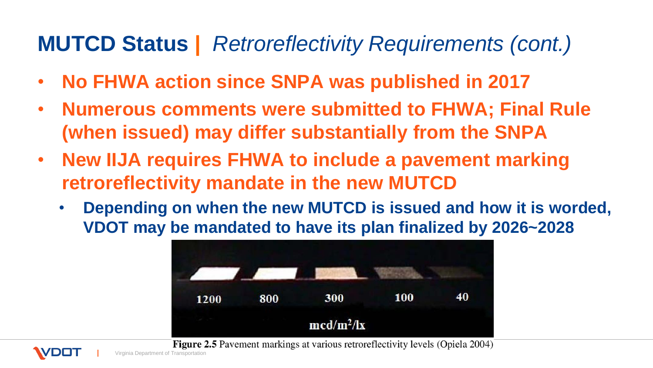### **MUTCD Status |** *Retroreflectivity Requirements (cont.)*

- **No FHWA action since SNPA was published in 2017**
- **Numerous comments were submitted to FHWA; Final Rule (when issued) may differ substantially from the SNPA**
- **New IIJA requires FHWA to include a pavement marking retroreflectivity mandate in the new MUTCD**
	- **Depending on when the new MUTCD is issued and how it is worded, VDOT may be mandated to have its plan finalized by 2026~2028**



**Figure 2.5** Pavement markings at various retroreflectivity levels (Opiela 2004)

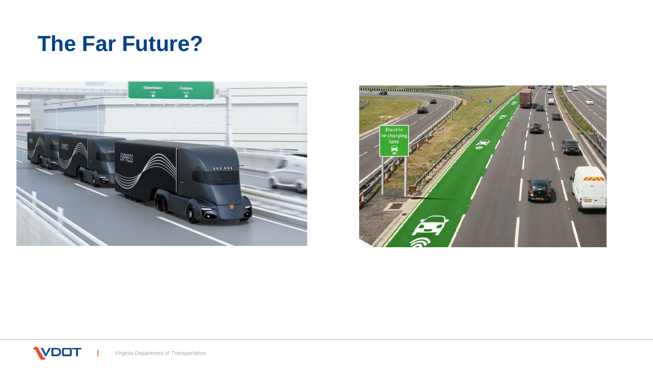## **The Far Future?**